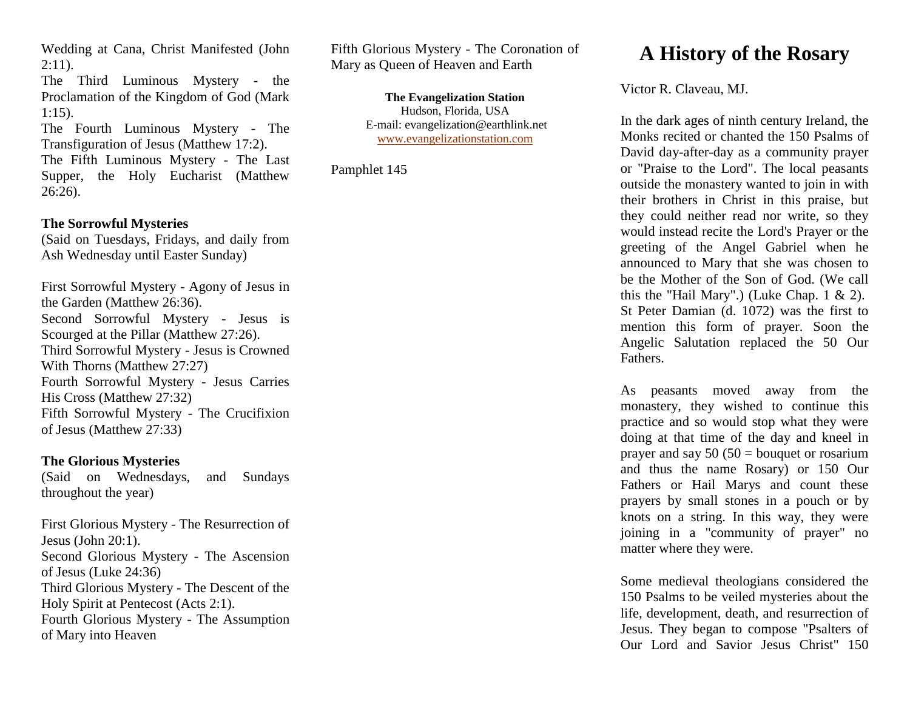Wedding at Cana, Christ Manifested (John  $2:11$ ).

The Third Luminous Mystery - the Proclamation of the Kingdom of God (Mark 1:15).

The Fourth Luminous Mystery - The Transfiguration of Jesus (Matthew 17:2). The Fifth Luminous Mystery - The Last

Supper, the Holy Eucharist (Matthew 26:26).

## **The Sorrowful Mysteries**

(Said on Tuesdays, Fridays, and daily from Ash Wednesday until Easter Sunday)

First Sorrowful Mystery - Agony of Jesus in the Garden (Matthew 26:36). Second Sorrowful Mystery - Jesus is Scourged at the Pillar (Matthew 27:26). Third Sorrowful Mystery - Jesus is Crowned With Thorns (Matthew 27:27) Fourth Sorrowful Mystery - Jesus Carries His Cross (Matthew 27:32) Fifth Sorrowful Mystery - The Crucifixion of Jesus (Matthew 27:33)

#### **The Glorious Mysteries**

(Said on Wednesdays, and Sundays throughout the year)

First Glorious Mystery - The Resurrection of Jesus (John 20:1). Second Glorious Mystery - The Ascension of Jesus (Luke 24:36) Third Glorious Mystery - The Descent of the Holy Spirit at Pentecost (Acts 2:1). Fourth Glorious Mystery - The Assumption of Mary into Heaven

Fifth Glorious Mystery - The Coronation of Mary as Queen of Heaven and Earth

> **The Evangelization Station** Hudson, Florida, USA E-mail: evangelization@earthlink.net [www.evangelizationstation.com](http://www.pjpiisoe.org/)

Pamphlet 145

# **A History of the Rosary**

Victor R. Claveau, MJ.

In the dark ages of ninth century Ireland, the Monks recited or chanted the 150 Psalms of David day-after-day as a community prayer or "Praise to the Lord". The local peasants outside the monastery wanted to join in with their brothers in Christ in this praise, but they could neither read nor write, so they would instead recite the Lord's Prayer or the greeting of the Angel Gabriel when he announced to Mary that she was chosen to be the Mother of the Son of God. (We call this the "Hail Mary".) (Luke Chap.  $1 \& 2$ ). St Peter Damian (d. 1072) was the first to mention this form of prayer. Soon the Angelic Salutation replaced the 50 Our Fathers.

As peasants moved away from the monastery, they wished to continue this practice and so would stop what they were doing at that time of the day and kneel in prayer and say  $50 (50 =$  bouquet or rosarium and thus the name Rosary) or 150 Our Fathers or Hail Marys and count these prayers by small stones in a pouch or by knots on a string. In this way, they were joining in a "community of prayer" no matter where they were.

Some medieval theologians considered the 150 Psalms to be veiled mysteries about the life, development, death, and resurrection of Jesus. They began to compose "Psalters of Our Lord and Savior Jesus Christ" 150